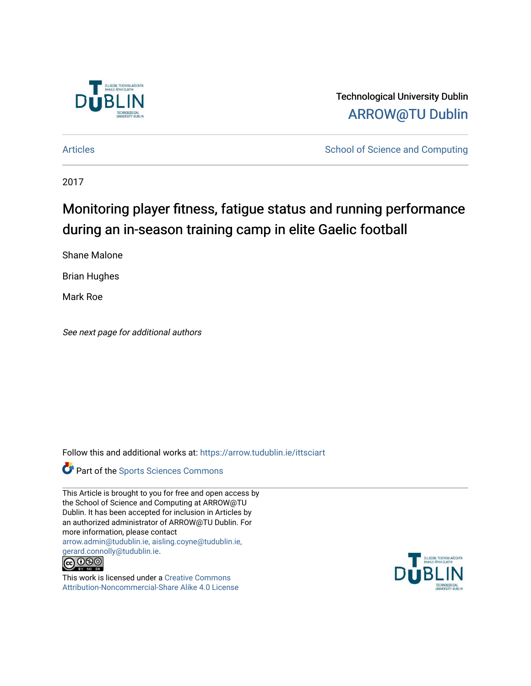

Technological University Dublin [ARROW@TU Dublin](https://arrow.tudublin.ie/) 

[Articles](https://arrow.tudublin.ie/ittsciart) **School of Science and Computing** 

2017

# Monitoring player fitness, fatigue status and running performance during an in-season training camp in elite Gaelic football

Shane Malone

Brian Hughes

Mark Roe

See next page for additional authors

Follow this and additional works at: [https://arrow.tudublin.ie/ittsciart](https://arrow.tudublin.ie/ittsciart?utm_source=arrow.tudublin.ie%2Fittsciart%2F121&utm_medium=PDF&utm_campaign=PDFCoverPages)



This Article is brought to you for free and open access by the School of Science and Computing at ARROW@TU Dublin. It has been accepted for inclusion in Articles by an authorized administrator of ARROW@TU Dublin. For more information, please contact [arrow.admin@tudublin.ie, aisling.coyne@tudublin.ie,](mailto:arrow.admin@tudublin.ie,%20aisling.coyne@tudublin.ie,%20gerard.connolly@tudublin.ie)  [gerard.connolly@tudublin.ie](mailto:arrow.admin@tudublin.ie,%20aisling.coyne@tudublin.ie,%20gerard.connolly@tudublin.ie).



This work is licensed under a [Creative Commons](http://creativecommons.org/licenses/by-nc-sa/4.0/) [Attribution-Noncommercial-Share Alike 4.0 License](http://creativecommons.org/licenses/by-nc-sa/4.0/)

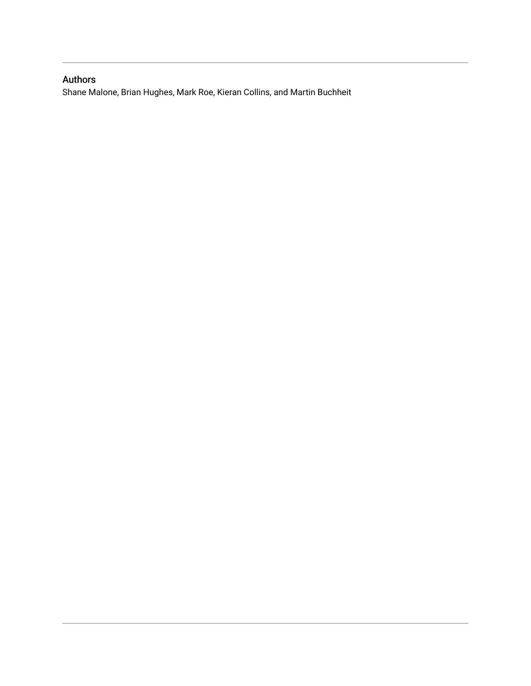# Authors

Shane Malone, Brian Hughes, Mark Roe, Kieran Collins, and Martin Buchheit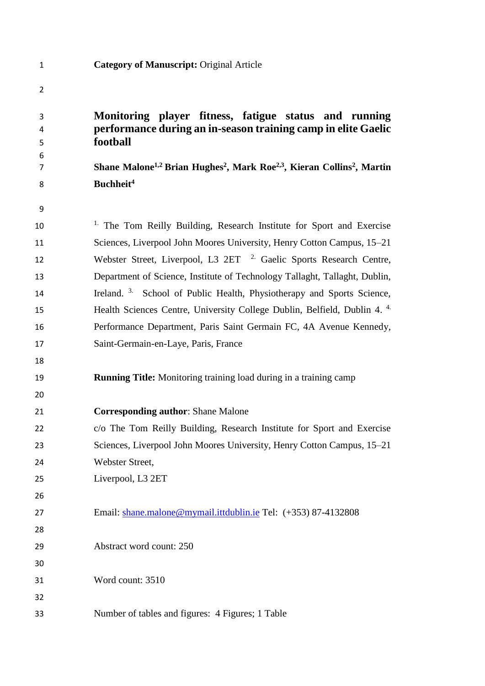| 3      | Monitoring player fitness, fatigue status and running                                                                  |  |  |  |  |  |
|--------|------------------------------------------------------------------------------------------------------------------------|--|--|--|--|--|
| 4      | performance during an in-season training camp in elite Gaelic<br>football                                              |  |  |  |  |  |
| 5<br>6 |                                                                                                                        |  |  |  |  |  |
| 7      | Shane Malone <sup>1,2</sup> Brian Hughes <sup>2</sup> , Mark Roe <sup>2,3</sup> , Kieran Collins <sup>2</sup> , Martin |  |  |  |  |  |
| 8      | Buchheit <sup>4</sup>                                                                                                  |  |  |  |  |  |
| 9      |                                                                                                                        |  |  |  |  |  |
| 10     | <sup>1.</sup> The Tom Reilly Building, Research Institute for Sport and Exercise                                       |  |  |  |  |  |
| 11     | Sciences, Liverpool John Moores University, Henry Cotton Campus, 15–21                                                 |  |  |  |  |  |
| 12     | Webster Street, Liverpool, L3 2ET <sup>2</sup> Gaelic Sports Research Centre,                                          |  |  |  |  |  |
| 13     | Department of Science, Institute of Technology Tallaght, Tallaght, Dublin,                                             |  |  |  |  |  |
| 14     | Ireland. <sup>3.</sup> School of Public Health, Physiotherapy and Sports Science,                                      |  |  |  |  |  |
| 15     | Health Sciences Centre, University College Dublin, Belfield, Dublin 4. <sup>4.</sup>                                   |  |  |  |  |  |
| 16     | Performance Department, Paris Saint Germain FC, 4A Avenue Kennedy,                                                     |  |  |  |  |  |
| 17     | Saint-Germain-en-Laye, Paris, France                                                                                   |  |  |  |  |  |
| 18     |                                                                                                                        |  |  |  |  |  |
| 19     | <b>Running Title:</b> Monitoring training load during in a training camp                                               |  |  |  |  |  |
| 20     |                                                                                                                        |  |  |  |  |  |
| 21     | <b>Corresponding author: Shane Malone</b>                                                                              |  |  |  |  |  |
| 22     | c/o The Tom Reilly Building, Research Institute for Sport and Exercise                                                 |  |  |  |  |  |
| 23     | Sciences, Liverpool John Moores University, Henry Cotton Campus, 15–21                                                 |  |  |  |  |  |
| 24     | Webster Street,                                                                                                        |  |  |  |  |  |
| 25     | Liverpool, L3 2ET                                                                                                      |  |  |  |  |  |
| 26     |                                                                                                                        |  |  |  |  |  |
| 27     | Email: shane.malone@mymail.ittdublin.ie Tel: (+353) 87-4132808                                                         |  |  |  |  |  |
| 28     |                                                                                                                        |  |  |  |  |  |
| 29     | Abstract word count: 250                                                                                               |  |  |  |  |  |
| 30     |                                                                                                                        |  |  |  |  |  |
| 31     | Word count: 3510                                                                                                       |  |  |  |  |  |
| 32     |                                                                                                                        |  |  |  |  |  |

Number of tables and figures: 4 Figures; 1 Table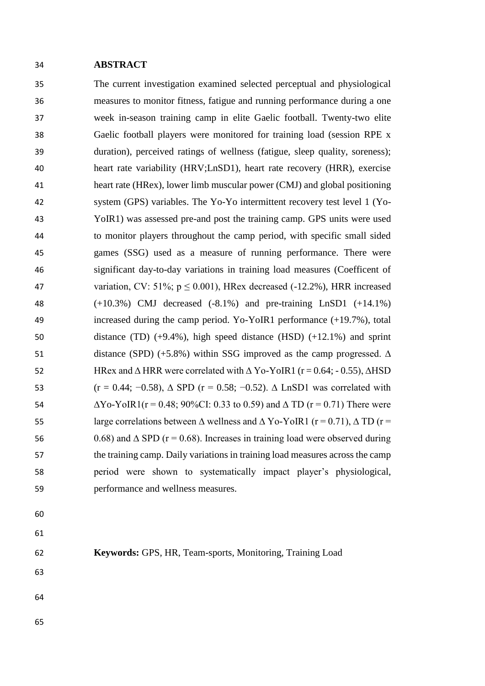#### **ABSTRACT**

 The current investigation examined selected perceptual and physiological measures to monitor fitness, fatigue and running performance during a one week in-season training camp in elite Gaelic football. Twenty-two elite Gaelic football players were monitored for training load (session RPE x duration), perceived ratings of wellness (fatigue, sleep quality, soreness); heart rate variability (HRV;LnSD1), heart rate recovery (HRR), exercise heart rate (HRex), lower limb muscular power (CMJ) and global positioning system (GPS) variables. The Yo-Yo intermittent recovery test level 1 (Yo- YoIR1) was assessed pre-and post the training camp. GPS units were used to monitor players throughout the camp period, with specific small sided games (SSG) used as a measure of running performance. There were significant day-to-day variations in training load measures (Coefficent of 47 variation, CV: 51%;  $p \le 0.001$ ), HRex decreased (-12.2%), HRR increased (+10.3%) CMJ decreased (-8.1%) and pre-training LnSD1 (+14.1%) increased during the camp period. Yo-YoIR1 performance (+19.7%), total distance (TD) (+9.4%), high speed distance (HSD) (+12.1%) and sprint 51 distance (SPD) (+5.8%) within SSG improved as the camp progressed.  $\Delta$  HRex and ∆ HRR were correlated with ∆ Yo-YoIR1 (r = 0.64; - 0.55), ∆HSD 53 (r = 0.44; -0.58),  $\triangle$  SPD (r = 0.58; -0.52).  $\triangle$  LnSD1 was correlated with  $\Delta$ Yo-YoIR1(r = 0.48; 90%CI: 0.33 to 0.59) and  $\Delta$  TD (r = 0.71) There were 55 large correlations between  $\Delta$  wellness and  $\Delta$  Yo-YoIR1 (r = 0.71),  $\Delta$  TD (r = 56 0.68) and  $\triangle$  SPD (r = 0.68). Increases in training load were observed during the training camp. Daily variations in training load measures across the camp period were shown to systematically impact player's physiological, performance and wellness measures.

- 
- 
- 
- **Keywords:** GPS, HR, Team-sports, Monitoring, Training Load
- 
- 
-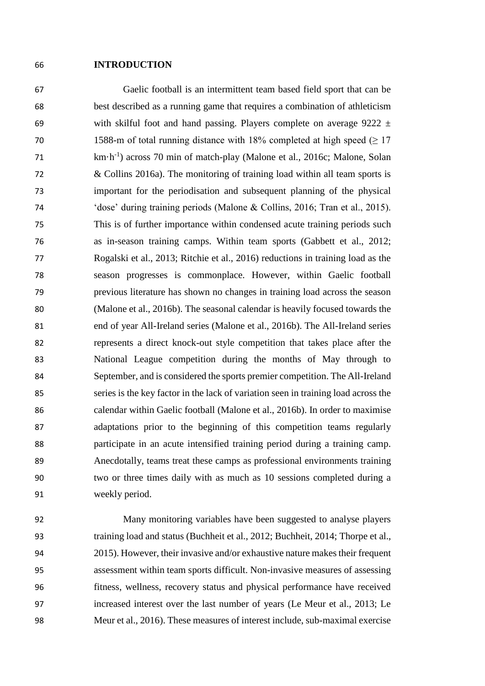#### **INTRODUCTION**

 Gaelic football is an intermittent team based field sport that can be best described as a running game that requires a combination of athleticism 69 with skilful foot and hand passing. Players complete on average  $9222 \pm 1$ 70 1588-m of total running distance with 18% completed at high speed  $(≥ 17$ km·h-1 ) across 70 min of match-play (Malone et al., 2016c; Malone, Solan & Collins 2016a). The monitoring of training load within all team sports is important for the periodisation and subsequent planning of the physical 'dose' during training periods (Malone & Collins, 2016; Tran et al., 2015). This is of further importance within condensed acute training periods such as in-season training camps. Within team sports (Gabbett et al., 2012; Rogalski et al., 2013; Ritchie et al., 2016) reductions in training load as the season progresses is commonplace. However, within Gaelic football previous literature has shown no changes in training load across the season (Malone et al., 2016b). The seasonal calendar is heavily focused towards the end of year All-Ireland series (Malone et al., 2016b). The All-Ireland series represents a direct knock-out style competition that takes place after the National League competition during the months of May through to September, and is considered the sports premier competition. The All-Ireland series is the key factor in the lack of variation seen in training load across the calendar within Gaelic football (Malone et al., 2016b). In order to maximise adaptations prior to the beginning of this competition teams regularly participate in an acute intensified training period during a training camp. Anecdotally, teams treat these camps as professional environments training two or three times daily with as much as 10 sessions completed during a weekly period.

 Many monitoring variables have been suggested to analyse players training load and status (Buchheit et al., 2012; Buchheit, 2014; Thorpe et al., 2015). However, their invasive and/or exhaustive nature makes their frequent assessment within team sports difficult. Non-invasive measures of assessing fitness, wellness, recovery status and physical performance have received increased interest over the last number of years (Le Meur et al., 2013; Le Meur et al., 2016). These measures of interest include, sub-maximal exercise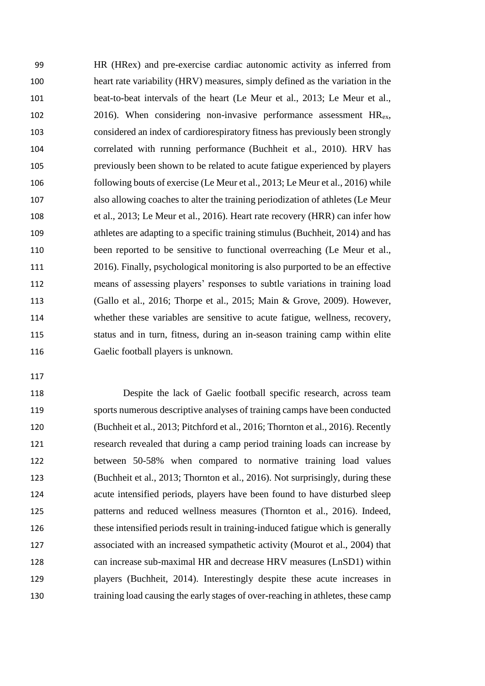HR (HRex) and pre-exercise cardiac autonomic activity as inferred from heart rate variability (HRV) measures, simply defined as the variation in the beat-to-beat intervals of the heart (Le Meur et al., 2013; Le Meur et al., 102 2016). When considering non-invasive performance assessment  $HR_{ex}$ , considered an index of cardiorespiratory fitness has previously been strongly correlated with running performance (Buchheit et al., 2010). HRV has previously been shown to be related to acute fatigue experienced by players following bouts of exercise (Le Meur et al., 2013; Le Meur et al., 2016) while also allowing coaches to alter the training periodization of athletes (Le Meur et al., 2013; Le Meur et al., 2016). Heart rate recovery (HRR) can infer how athletes are adapting to a specific training stimulus (Buchheit, 2014) and has 110 been reported to be sensitive to functional overreaching (Le Meur et al., 2016). Finally, psychological monitoring is also purported to be an effective means of assessing players' responses to subtle variations in training load (Gallo et al., 2016; Thorpe et al., 2015; Main & Grove, 2009). However, whether these variables are sensitive to acute fatigue, wellness, recovery, status and in turn, fitness, during an in-season training camp within elite Gaelic football players is unknown.

 Despite the lack of Gaelic football specific research, across team sports numerous descriptive analyses of training camps have been conducted (Buchheit et al., 2013; Pitchford et al., 2016; Thornton et al., 2016). Recently research revealed that during a camp period training loads can increase by between 50-58% when compared to normative training load values (Buchheit et al., 2013; Thornton et al., 2016). Not surprisingly, during these acute intensified periods, players have been found to have disturbed sleep patterns and reduced wellness measures (Thornton et al., 2016). Indeed, these intensified periods result in training-induced fatigue which is generally associated with an increased sympathetic activity (Mourot et al., 2004) that can increase sub-maximal HR and decrease HRV measures (LnSD1) within players (Buchheit, 2014). Interestingly despite these acute increases in training load causing the early stages of over-reaching in athletes, these camp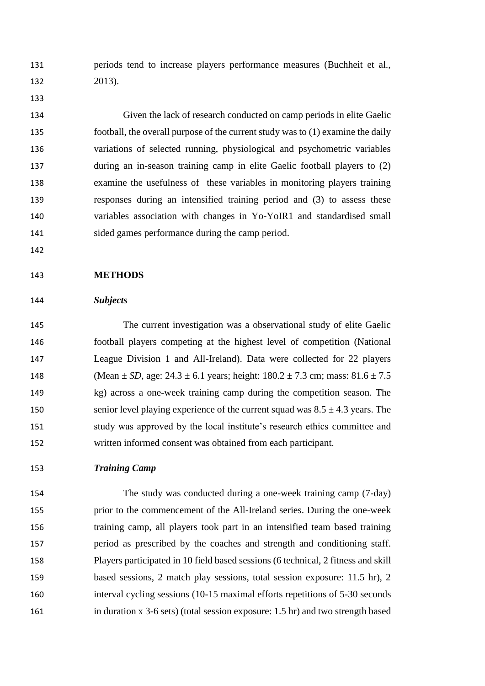periods tend to increase players performance measures (Buchheit et al., 2013).

 Given the lack of research conducted on camp periods in elite Gaelic football, the overall purpose of the current study was to (1) examine the daily variations of selected running, physiological and psychometric variables during an in-season training camp in elite Gaelic football players to (2) examine the usefulness of these variables in monitoring players training responses during an intensified training period and (3) to assess these variables association with changes in Yo-YoIR1 and standardised small sided games performance during the camp period.

### **METHODS**

#### *Subjects*

 The current investigation was a observational study of elite Gaelic football players competing at the highest level of competition (National League Division 1 and All-Ireland). Data were collected for 22 players 148 (Mean  $\pm SD$ , age:  $24.3 \pm 6.1$  years; height:  $180.2 \pm 7.3$  cm; mass:  $81.6 \pm 7.5$  kg) across a one-week training camp during the competition season. The 150 senior level playing experience of the current squad was  $8.5 \pm 4.3$  years. The study was approved by the local institute's research ethics committee and written informed consent was obtained from each participant.

# *Training Camp*

 The study was conducted during a one-week training camp (7-day) prior to the commencement of the All-Ireland series. During the one-week training camp, all players took part in an intensified team based training period as prescribed by the coaches and strength and conditioning staff. Players participated in 10 field based sessions (6 technical, 2 fitness and skill based sessions, 2 match play sessions, total session exposure: 11.5 hr), 2 interval cycling sessions (10-15 maximal efforts repetitions of 5-30 seconds in duration x 3-6 sets) (total session exposure: 1.5 hr) and two strength based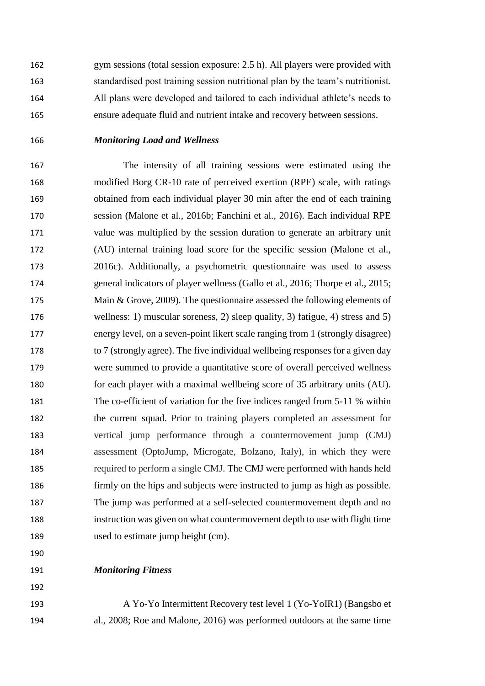gym sessions (total session exposure: 2.5 h). All players were provided with standardised post training session nutritional plan by the team's nutritionist. All plans were developed and tailored to each individual athlete's needs to ensure adequate fluid and nutrient intake and recovery between sessions.

# *Monitoring Load and Wellness*

 The intensity of all training sessions were estimated using the modified Borg CR-10 rate of perceived exertion (RPE) scale, with ratings obtained from each individual player 30 min after the end of each training session (Malone et al., 2016b; Fanchini et al., 2016). Each individual RPE value was multiplied by the session duration to generate an arbitrary unit (AU) internal training load score for the specific session (Malone et al., 2016c). Additionally, a psychometric questionnaire was used to assess general indicators of player wellness (Gallo et al., 2016; Thorpe et al., 2015; 175 Main & Grove, 2009). The questionnaire assessed the following elements of wellness: 1) muscular soreness, 2) sleep quality, 3) fatigue, 4) stress and 5) energy level, on a seven-point likert scale ranging from 1 (strongly disagree) to 7 (strongly agree). The five individual wellbeing responses for a given day were summed to provide a quantitative score of overall perceived wellness for each player with a maximal wellbeing score of 35 arbitrary units (AU). The co-efficient of variation for the five indices ranged from 5-11 % within the current squad. Prior to training players completed an assessment for vertical jump performance through a countermovement jump (CMJ) assessment (OptoJump, Microgate, Bolzano, Italy), in which they were required to perform a single CMJ. The CMJ were performed with hands held firmly on the hips and subjects were instructed to jump as high as possible. The jump was performed at a self-selected countermovement depth and no instruction was given on what countermovement depth to use with flight time 189 used to estimate jump height (cm).

#### *Monitoring Fitness*

 A Yo-Yo Intermittent Recovery test level 1 (Yo-YoIR1) (Bangsbo et al., 2008; Roe and Malone, 2016) was performed outdoors at the same time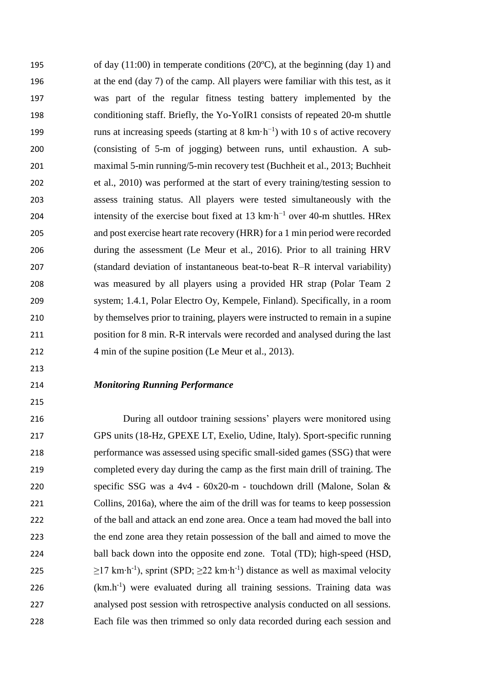of day (11:00) in temperate conditions (20ºC), at the beginning (day 1) and at the end (day 7) of the camp. All players were familiar with this test, as it was part of the regular fitness testing battery implemented by the conditioning staff. Briefly, the Yo-YoIR1 consists of repeated 20-m shuttle 199 runs at increasing speeds (starting at  $8 \text{ km} \cdot \text{h}^{-1}$ ) with 10 s of active recovery (consisting of 5-m of jogging) between runs, until exhaustion. A sub- maximal 5-min running/5-min recovery test (Buchheit et al., 2013; Buchheit et al., 2010) was performed at the start of every training/testing session to assess training status. All players were tested simultaneously with the 204 intensity of the exercise bout fixed at 13 km⋅h<sup>-1</sup> over 40-m shuttles. HRex and post exercise heart rate recovery (HRR) for a 1 min period were recorded during the assessment (Le Meur et al., 2016). Prior to all training HRV (standard deviation of instantaneous beat-to-beat R–R interval variability) was measured by all players using a provided HR strap (Polar Team 2 system; 1.4.1, Polar Electro Oy, Kempele, Finland). Specifically, in a room by themselves prior to training, players were instructed to remain in a supine position for 8 min. R-R intervals were recorded and analysed during the last 212 4 min of the supine position (Le Meur et al., 2013).

#### *Monitoring Running Performance*

 During all outdoor training sessions' players were monitored using GPS units (18-Hz, GPEXE LT, Exelio, Udine, Italy). Sport-specific running performance was assessed using specific small-sided games (SSG) that were completed every day during the camp as the first main drill of training. The specific SSG was a 4v4 - 60x20-m - touchdown drill (Malone, Solan & Collins, 2016a), where the aim of the drill was for teams to keep possession of the ball and attack an end zone area. Once a team had moved the ball into the end zone area they retain possession of the ball and aimed to move the ball back down into the opposite end zone. Total (TD); high-speed (HSD, 225 ≥17 km⋅h<sup>-1</sup>), sprint (SPD; ≥22 km⋅h<sup>-1</sup>) distance as well as maximal velocity 226 (km.h<sup>-1</sup>) were evaluated during all training sessions. Training data was analysed post session with retrospective analysis conducted on all sessions. Each file was then trimmed so only data recorded during each session and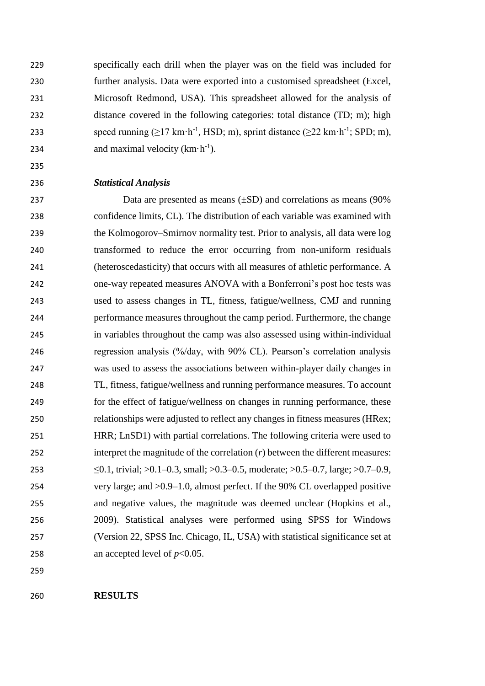specifically each drill when the player was on the field was included for further analysis. Data were exported into a customised spreadsheet (Excel, Microsoft Redmond, USA). This spreadsheet allowed for the analysis of distance covered in the following categories: total distance (TD; m); high 233 speed running  $(\geq 17 \text{ km} \cdot \text{h}^{-1}, \text{HSD}; \text{m})$ , sprint distance  $(\geq 22 \text{ km} \cdot \text{h}^{-1}; \text{SPD}; \text{m})$ , 234 and maximal velocity  $(km \cdot h^{-1})$ .

### *Statistical Analysis*

 Data are presented as means (±SD) and correlations as means (90% confidence limits, CL). The distribution of each variable was examined with the Kolmogorov–Smirnov normality test. Prior to analysis, all data were log transformed to reduce the error occurring from non-uniform residuals (heteroscedasticity) that occurs with all measures of athletic performance. A one-way repeated measures ANOVA with a Bonferroni's post hoc tests was used to assess changes in TL, fitness, fatigue/wellness, CMJ and running performance measures throughout the camp period. Furthermore, the change in variables throughout the camp was also assessed using within-individual regression analysis (%/day, with 90% CL). Pearson's correlation analysis was used to assess the associations between within-player daily changes in TL, fitness, fatigue/wellness and running performance measures. To account for the effect of fatigue/wellness on changes in running performance, these relationships were adjusted to reflect any changes in fitness measures (HRex; HRR; LnSD1) with partial correlations. The following criteria were used to interpret the magnitude of the correlation (*r*) between the different measures: ≤0.1, trivial; >0.1–0.3, small; >0.3–0.5, moderate; >0.5–0.7, large; >0.7–0.9, very large; and >0.9–1.0, almost perfect. If the 90% CL overlapped positive and negative values, the magnitude was deemed unclear (Hopkins et al., 2009). Statistical analyses were performed using SPSS for Windows (Version 22, SPSS Inc. Chicago, IL, USA) with statistical significance set at 258 an accepted level of  $p<0.05$ .

**RESULTS**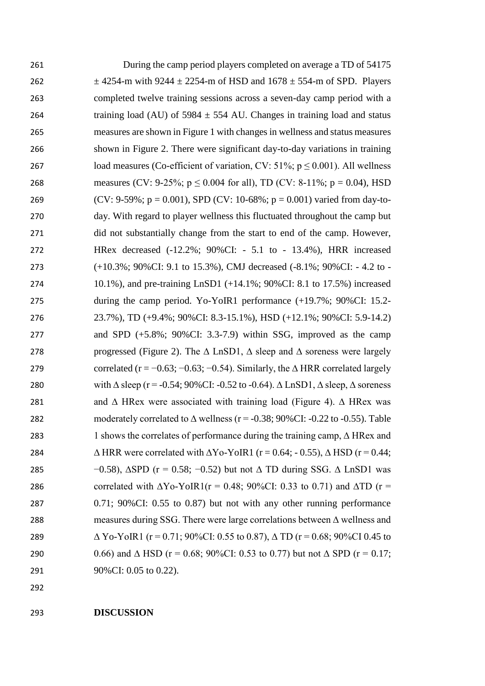| 261 | During the camp period players completed on average a TD of 54175                                         |
|-----|-----------------------------------------------------------------------------------------------------------|
| 262 | $\pm$ 4254-m with 9244 $\pm$ 2254-m of HSD and 1678 $\pm$ 554-m of SPD. Players                           |
| 263 | completed twelve training sessions across a seven-day camp period with a                                  |
| 264 | training load (AU) of 5984 $\pm$ 554 AU. Changes in training load and status                              |
| 265 | measures are shown in Figure 1 with changes in wellness and status measures                               |
| 266 | shown in Figure 2. There were significant day-to-day variations in training                               |
| 267 | load measures (Co-efficient of variation, CV: 51%; $p \le 0.001$ ). All wellness                          |
| 268 | measures (CV: 9-25%; $p \le 0.004$ for all), TD (CV: 8-11%; $p = 0.04$ ), HSD                             |
| 269 | (CV: 9-59%; $p = 0.001$ ), SPD (CV: 10-68%; $p = 0.001$ ) varied from day-to-                             |
| 270 | day. With regard to player wellness this fluctuated throughout the camp but                               |
| 271 | did not substantially change from the start to end of the camp. However,                                  |
| 272 | HRex decreased (-12.2%; 90%CI: - 5.1 to - 13.4%), HRR increased                                           |
| 273 | (+10.3%; 90%CI: 9.1 to 15.3%), CMJ decreased (-8.1%; 90%CI: - 4.2 to -                                    |
| 274 | 10.1%), and pre-training LnSD1 (+14.1%; 90%CI: 8.1 to 17.5%) increased                                    |
| 275 | during the camp period. Yo-YoIR1 performance $(+19.7\%; 90\% CI: 15.2$ -                                  |
| 276 | 23.7%), TD (+9.4%; 90%CI: 8.3-15.1%), HSD (+12.1%; 90%CI: 5.9-14.2)                                       |
| 277 | and SPD $(+5.8\%; 90\%$ CI: 3.3-7.9) within SSG, improved as the camp                                     |
| 278 | progressed (Figure 2). The $\Delta$ LnSD1, $\Delta$ sleep and $\Delta$ soreness were largely              |
| 279 | correlated ( $r = -0.63$ ; $-0.63$ ; $-0.54$ ). Similarly, the $\triangle$ HRR correlated largely         |
| 280 | with $\Delta$ sleep (r = -0.54; 90%CI: -0.52 to -0.64). $\Delta$ LnSD1, $\Delta$ sleep, $\Delta$ soreness |
| 281 | and $\Delta$ HRex were associated with training load (Figure 4). $\Delta$ HRex was                        |
| 282 | moderately correlated to $\Delta$ wellness ( $r = -0.38$ ; 90%CI: -0.22 to -0.55). Table                  |
| 283 | 1 shows the correlates of performance during the training camp, $\triangle$ HRex and                      |
| 284 | $\triangle$ HRR were correlated with $\triangle$ Yo-YoIR1 (r = 0.64; - 0.55), $\triangle$ HSD (r = 0.44;  |
| 285 | $-0.58$ ), $\triangle$ SPD (r = 0.58; -0.52) but not $\triangle$ TD during SSG. $\triangle$ LnSD1 was     |
| 286 | correlated with $\Delta$ Yo-YoIR1(r = 0.48; 90%CI: 0.33 to 0.71) and $\Delta$ TD (r =                     |
| 287 | $0.71$ ; $90\%$ CI: $0.55$ to $0.87$ ) but not with any other running performance                         |
| 288 | measures during SSG. There were large correlations between $\Delta$ wellness and                          |
| 289 | $\Delta$ Yo-YoIR1 (r = 0.71; 90%CI: 0.55 to 0.87), $\Delta$ TD (r = 0.68; 90%CI 0.45 to                   |
| 290 | 0.66) and $\triangle$ HSD (r = 0.68; 90%CI: 0.53 to 0.77) but not $\triangle$ SPD (r = 0.17;              |
| 291 | 90%CI: 0.05 to 0.22).                                                                                     |

**DISCUSSION**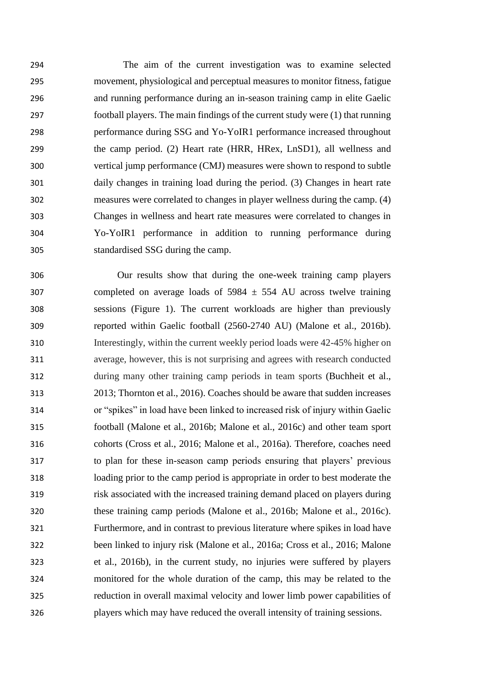The aim of the current investigation was to examine selected movement, physiological and perceptual measures to monitor fitness, fatigue and running performance during an in-season training camp in elite Gaelic football players. The main findings of the current study were (1) that running performance during SSG and Yo-YoIR1 performance increased throughout the camp period. (2) Heart rate (HRR, HRex, LnSD1), all wellness and vertical jump performance (CMJ) measures were shown to respond to subtle daily changes in training load during the period. (3) Changes in heart rate measures were correlated to changes in player wellness during the camp. (4) Changes in wellness and heart rate measures were correlated to changes in Yo-YoIR1 performance in addition to running performance during standardised SSG during the camp.

 Our results show that during the one-week training camp players 307 completed on average loads of  $5984 \pm 554$  AU across twelve training sessions (Figure 1). The current workloads are higher than previously reported within Gaelic football (2560-2740 AU) (Malone et al., 2016b). Interestingly, within the current weekly period loads were 42-45% higher on average, however, this is not surprising and agrees with research conducted during many other training camp periods in team sports (Buchheit et al., 2013; Thornton et al., 2016). Coaches should be aware that sudden increases or "spikes" in load have been linked to increased risk of injury within Gaelic football (Malone et al., 2016b; Malone et al., 2016c) and other team sport cohorts (Cross et al., 2016; Malone et al., 2016a). Therefore, coaches need to plan for these in-season camp periods ensuring that players' previous loading prior to the camp period is appropriate in order to best moderate the risk associated with the increased training demand placed on players during these training camp periods (Malone et al., 2016b; Malone et al., 2016c). Furthermore, and in contrast to previous literature where spikes in load have been linked to injury risk (Malone et al., 2016a; Cross et al., 2016; Malone et al., 2016b), in the current study, no injuries were suffered by players monitored for the whole duration of the camp, this may be related to the reduction in overall maximal velocity and lower limb power capabilities of players which may have reduced the overall intensity of training sessions.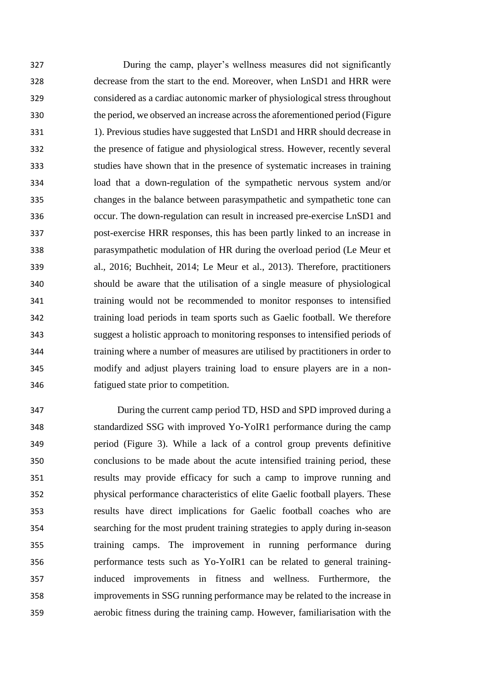During the camp, player's wellness measures did not significantly decrease from the start to the end. Moreover, when LnSD1 and HRR were considered as a cardiac autonomic marker of physiological stress throughout the period, we observed an increase across the aforementioned period (Figure 1). Previous studies have suggested that LnSD1 and HRR should decrease in the presence of fatigue and physiological stress. However, recently several studies have shown that in the presence of systematic increases in training load that a down-regulation of the sympathetic nervous system and/or changes in the balance between parasympathetic and sympathetic tone can occur. The down-regulation can result in increased pre-exercise LnSD1 and post-exercise HRR responses, this has been partly linked to an increase in parasympathetic modulation of HR during the overload period (Le Meur et al., 2016; Buchheit, 2014; Le Meur et al., 2013). Therefore, practitioners should be aware that the utilisation of a single measure of physiological training would not be recommended to monitor responses to intensified training load periods in team sports such as Gaelic football. We therefore suggest a holistic approach to monitoring responses to intensified periods of training where a number of measures are utilised by practitioners in order to modify and adjust players training load to ensure players are in a non-fatigued state prior to competition.

 During the current camp period TD, HSD and SPD improved during a standardized SSG with improved Yo-YoIR1 performance during the camp period (Figure 3). While a lack of a control group prevents definitive conclusions to be made about the acute intensified training period, these results may provide efficacy for such a camp to improve running and physical performance characteristics of elite Gaelic football players. These results have direct implications for Gaelic football coaches who are searching for the most prudent training strategies to apply during in-season training camps. The improvement in running performance during performance tests such as Yo-YoIR1 can be related to general training- induced improvements in fitness and wellness. Furthermore, the improvements in SSG running performance may be related to the increase in aerobic fitness during the training camp. However, familiarisation with the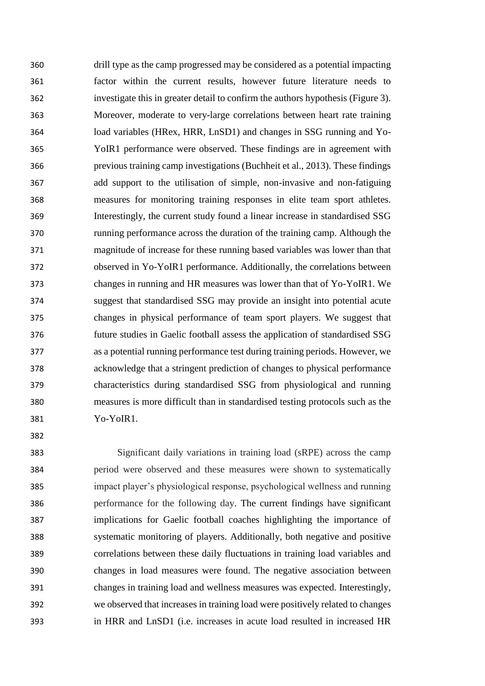drill type as the camp progressed may be considered as a potential impacting factor within the current results, however future literature needs to investigate this in greater detail to confirm the authors hypothesis (Figure 3). Moreover, moderate to very-large correlations between heart rate training load variables (HRex, HRR, LnSD1) and changes in SSG running and Yo- YoIR1 performance were observed. These findings are in agreement with previous training camp investigations (Buchheit et al., 2013). These findings add support to the utilisation of simple, non-invasive and non-fatiguing measures for monitoring training responses in elite team sport athletes. Interestingly, the current study found a linear increase in standardised SSG running performance across the duration of the training camp. Although the magnitude of increase for these running based variables was lower than that observed in Yo-YoIR1 performance. Additionally, the correlations between changes in running and HR measures was lower than that of Yo-YoIR1. We suggest that standardised SSG may provide an insight into potential acute changes in physical performance of team sport players. We suggest that future studies in Gaelic football assess the application of standardised SSG as a potential running performance test during training periods. However, we acknowledge that a stringent prediction of changes to physical performance characteristics during standardised SSG from physiological and running measures is more difficult than in standardised testing protocols such as the Yo-YoIR1.

 Significant daily variations in training load (sRPE) across the camp period were observed and these measures were shown to systematically impact player's physiological response, psychological wellness and running performance for the following day. The current findings have significant implications for Gaelic football coaches highlighting the importance of systematic monitoring of players. Additionally, both negative and positive correlations between these daily fluctuations in training load variables and changes in load measures were found. The negative association between changes in training load and wellness measures was expected. Interestingly, we observed that increases in training load were positively related to changes in HRR and LnSD1 (i.e. increases in acute load resulted in increased HR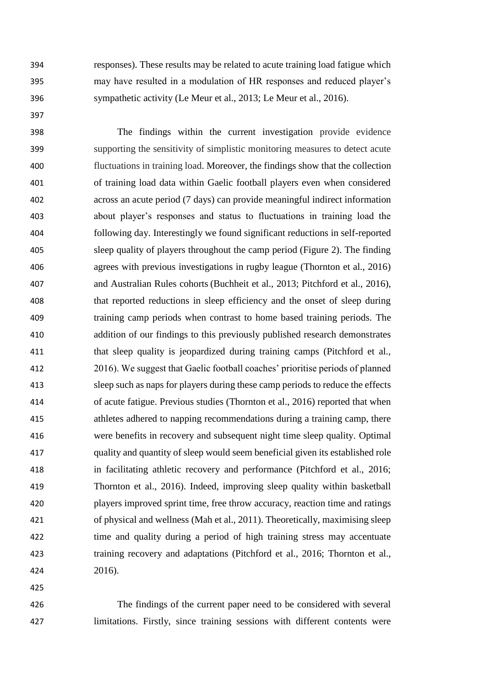responses). These results may be related to acute training load fatigue which may have resulted in a modulation of HR responses and reduced player's sympathetic activity (Le Meur et al., 2013; Le Meur et al., 2016).

 The findings within the current investigation provide evidence supporting the sensitivity of simplistic monitoring measures to detect acute fluctuations in training load. Moreover, the findings show that the collection of training load data within Gaelic football players even when considered across an acute period (7 days) can provide meaningful indirect information about player's responses and status to fluctuations in training load the following day. Interestingly we found significant reductions in self-reported sleep quality of players throughout the camp period (Figure 2). The finding agrees with previous investigations in rugby league (Thornton et al., 2016) and Australian Rules cohorts (Buchheit et al., 2013; Pitchford et al., 2016), that reported reductions in sleep efficiency and the onset of sleep during training camp periods when contrast to home based training periods. The addition of our findings to this previously published research demonstrates that sleep quality is jeopardized during training camps (Pitchford et al., 2016). We suggest that Gaelic football coaches' prioritise periods of planned sleep such as naps for players during these camp periods to reduce the effects of acute fatigue. Previous studies (Thornton et al., 2016) reported that when athletes adhered to napping recommendations during a training camp, there were benefits in recovery and subsequent night time sleep quality. Optimal quality and quantity of sleep would seem beneficial given its established role in facilitating athletic recovery and performance (Pitchford et al., 2016; Thornton et al., 2016). Indeed, improving sleep quality within basketball players improved sprint time, free throw accuracy, reaction time and ratings of physical and wellness (Mah et al., 2011). Theoretically, maximising sleep time and quality during a period of high training stress may accentuate training recovery and adaptations (Pitchford et al., 2016; Thornton et al., 2016).

 The findings of the current paper need to be considered with several limitations. Firstly, since training sessions with different contents were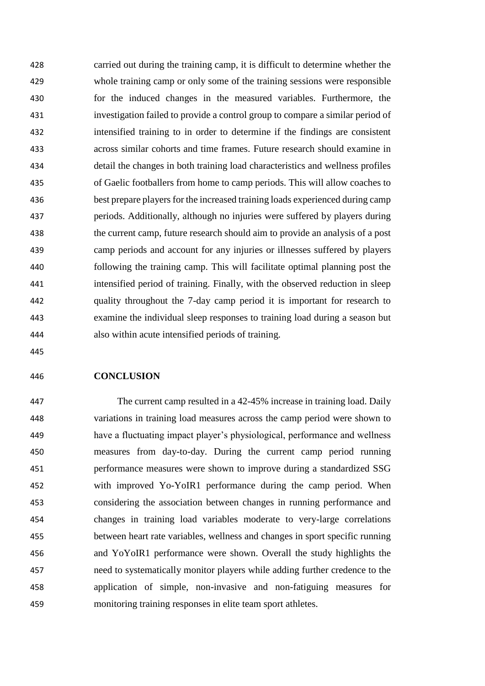carried out during the training camp, it is difficult to determine whether the whole training camp or only some of the training sessions were responsible for the induced changes in the measured variables. Furthermore, the investigation failed to provide a control group to compare a similar period of intensified training to in order to determine if the findings are consistent across similar cohorts and time frames. Future research should examine in detail the changes in both training load characteristics and wellness profiles of Gaelic footballers from home to camp periods. This will allow coaches to best prepare players for the increased training loads experienced during camp periods. Additionally, although no injuries were suffered by players during the current camp, future research should aim to provide an analysis of a post camp periods and account for any injuries or illnesses suffered by players following the training camp. This will facilitate optimal planning post the intensified period of training. Finally, with the observed reduction in sleep quality throughout the 7-day camp period it is important for research to examine the individual sleep responses to training load during a season but also within acute intensified periods of training.

### **CONCLUSION**

 The current camp resulted in a 42-45% increase in training load. Daily variations in training load measures across the camp period were shown to have a fluctuating impact player's physiological, performance and wellness measures from day-to-day. During the current camp period running performance measures were shown to improve during a standardized SSG with improved Yo-YoIR1 performance during the camp period. When considering the association between changes in running performance and changes in training load variables moderate to very-large correlations between heart rate variables, wellness and changes in sport specific running and YoYoIR1 performance were shown. Overall the study highlights the need to systematically monitor players while adding further credence to the application of simple, non-invasive and non-fatiguing measures for monitoring training responses in elite team sport athletes.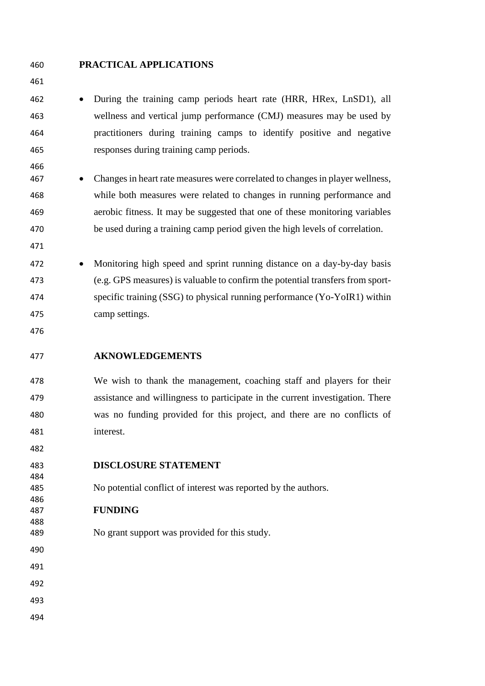# **PRACTICAL APPLICATIONS**

 • During the training camp periods heart rate (HRR, HRex, LnSD1), all wellness and vertical jump performance (CMJ) measures may be used by practitioners during training camps to identify positive and negative responses during training camp periods.

- Changes in heart rate measures were correlated to changes in player wellness, while both measures were related to changes in running performance and aerobic fitness. It may be suggested that one of these monitoring variables be used during a training camp period given the high levels of correlation.
- 

- Monitoring high speed and sprint running distance on a day-by-day basis (e.g. GPS measures) is valuable to confirm the potential transfers from sport- specific training (SSG) to physical running performance (Yo-YoIR1) within camp settings.
- 

# **AKNOWLEDGEMENTS**

 We wish to thank the management, coaching staff and players for their assistance and willingness to participate in the current investigation. There was no funding provided for this project, and there are no conflicts of interest.

**DISCLOSURE STATEMENT**

- No potential conflict of interest was reported by the authors.
- **FUNDING**
- No grant support was provided for this study.
- 
- 
- 
- 
-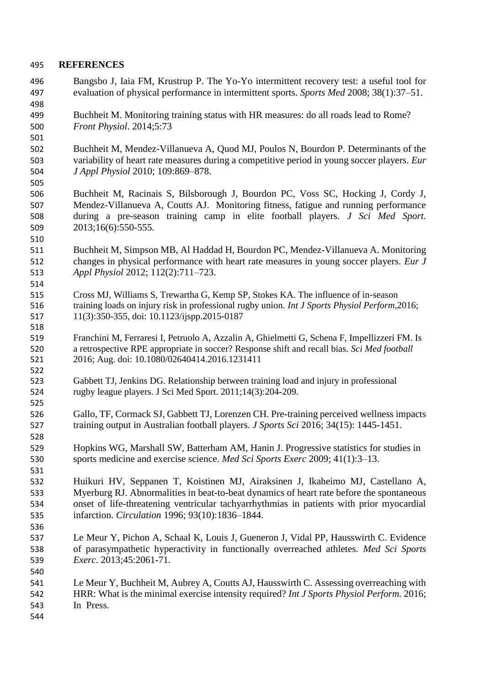# **REFERENCES**

- Bangsbo J, Iaia FM, Krustrup P. The Yo-Yo intermittent recovery test: a useful tool for evaluation of physical performance in intermittent sports. *Sports Med* 2008; 38(1):37–51.
- Buchheit M. Monitoring training status with HR measures: do all roads lead to Rome? *Front Physiol*. 2014;5:73

 Buchheit M, Mendez-Villanueva A, Quod MJ, Poulos N, Bourdon P. Determinants of the variability of heart rate measures during a competitive period in young soccer players. *Eur J Appl Physiol* 2010; 109:869–878.

- Buchheit M, Racinais S, Bilsborough J, Bourdon PC, Voss SC, Hocking J, Cordy J, Mendez-Villanueva A, Coutts AJ. Monitoring fitness, fatigue and running performance during a pre-season training camp in elite football players. *J Sci Med Sport.*  2013;16(6):550-555.
- Buchheit M, Simpson MB, Al Haddad H, Bourdon PC, Mendez-Villanueva A. Monitoring changes in physical performance with heart rate measures in young soccer players. *Eur J Appl Physiol* 2012; 112(2):711–723.
- Cross MJ, Williams S, Trewartha G, Kemp SP, Stokes KA. The influence of in-season training loads on injury risk in professional rugby union. *Int J Sports Physiol Perform,*2016; 11(3):350-355, doi: 10.1123/ijspp.2015-0187
- Franchini M, Ferraresi I, Petruolo A, Azzalin A, Ghielmetti G, Schena F, Impellizzeri FM. Is a retrospective RPE appropriate in soccer? Response shift and recall bias. *Sci Med football*  2016; Aug. doi: 10.1080/02640414.2016.1231411
- Gabbett TJ, Jenkins DG. Relationship between training load and injury in professional rugby league players. J Sci Med Sport. 2011;14(3):204-209.
- Gallo, TF, Cormack SJ, Gabbett TJ, Lorenzen CH. Pre-training perceived wellness impacts training output in Australian football players. *J Sports Sci* 2016; 34(15): 1445-1451.
- Hopkins WG, Marshall SW, Batterham AM, Hanin J. Progressive statistics for studies in sports medicine and exercise science. *Med Sci Sports Exerc* 2009; 41(1):3–13.
- Huikuri HV, Seppanen T, Koistinen MJ, Airaksinen J, Ikaheimo MJ, Castellano A, Myerburg RJ. Abnormalities in beat-to-beat dynamics of heart rate before the spontaneous onset of life-threatening ventricular tachyarrhythmias in patients with prior myocardial infarction. *Circulation* 1996; 93(10):1836–1844.
- Le Meur Y, Pichon A, Schaal K, Louis J, Gueneron J, Vidal PP, Hausswirth C. Evidence of parasympathetic hyperactivity in functionally overreached athletes. *Med Sci Sports Exerc*. 2013;45:2061-71.
- Le Meur Y, Buchheit M, Aubrey A, Coutts AJ, Hausswirth C. Assessing overreaching with HRR: What is the minimal exercise intensity required? *Int J Sports Physiol Perform.* 2016; In Press.
-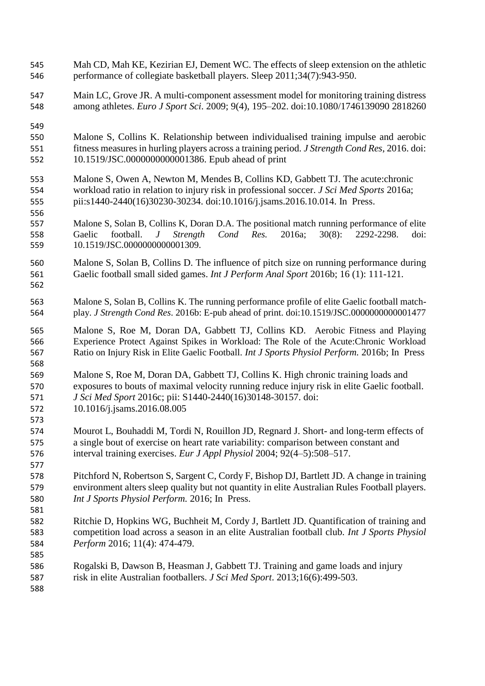- Mah CD, Mah KE, Kezirian EJ, Dement WC. The effects of sleep extension on the athletic performance of collegiate basketball players. Sleep 2011;34(7):943-950.
- Main LC, Grove JR. A multi-component assessment model for monitoring training distress among athletes. *Euro J Sport Sci*. 2009; 9(4), 195–202. doi:10.1080/1746139090 2818260

- Malone S, Collins K. Relationship between individualised training impulse and aerobic fitness measures in hurling players across a training period. *J Strength Cond Res*, 2016. doi: [10.1519/JSC.0000000000001386.](https://dx.doi.org/10.1519/JSC.0000000000001386) Epub ahead of print
- Malone S, Owen A, Newton M, Mendes B, Collins KD, Gabbett TJ. The acute:chronic workload ratio in relation to injury risk in professional soccer. *J Sci Med Sports* 2016a; pii:s1440-2440(16)30230-30234. doi:10.1016/j.jsams.2016.10.014. In Press.
- Malone S, Solan B, Collins K, Doran D.A. The positional match running performance of elite Gaelic football. *J Strength Cond Res.* 2016a; 30(8): 2292-2298. doi: 10.1519/JSC.0000000000001309.
- Malone S, Solan B, Collins D. The influence of pitch size on running performance during Gaelic football small sided games. *Int J Perform Anal Sport* 2016b; 16 (1): 111-121.
- Malone S, Solan B, Collins K. The running performance profile of elite Gaelic football match-play. *J Strength Cond Res*. 2016b: E-pub ahead of print. doi:10.1519/JSC.0000000000001477
- Malone S, Roe M, Doran DA, Gabbett TJ, Collins KD. Aerobic Fitness and Playing Experience Protect Against Spikes in Workload: The Role of the Acute:Chronic Workload Ratio on Injury Risk in Elite Gaelic Football. *Int J Sports Physiol Perform.* 2016b; In Press
- Malone S, Roe M, Doran DA, Gabbett TJ, Collins K. High chronic training loads and exposures to bouts of maximal velocity running reduce injury risk in elite Gaelic football. *J Sci Med Sport* 2016c; pii: S1440-2440(16)30148-30157. doi: 10.1016/j.jsams.2016.08.005
- Mourot L, Bouhaddi M, Tordi N, Rouillon JD, Regnard J. Short- and long-term effects of a single bout of exercise on heart rate variability: comparison between constant and interval training exercises. *Eur J Appl Physiol* 2004; 92(4–5):508–517.
- Pitchford N, Robertson S, Sargent C, Cordy F, Bishop DJ, Bartlett JD. A change in training environment alters sleep quality but not quantity in elite Australian Rules Football players. *Int J Sports Physiol Perform.* 2016; In Press.
- Ritchie D, Hopkins WG, Buchheit M, Cordy J, Bartlett JD. Quantification of training and competition load across a season in an elite Australian football club. *Int J Sports Physiol Perform* 2016; 11(4): 474-479.
- Rogalski B, Dawson B, Heasman J, Gabbett TJ. Training and game loads and injury risk in elite Australian footballers. *J Sci Med Sport*. 2013;16(6):499-503.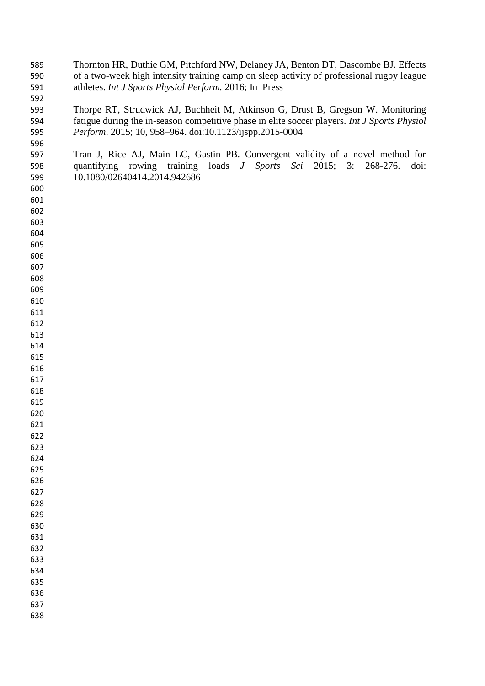| 589 | Thornton HR, Duthie GM, Pitchford NW, Delaney JA, Benton DT, Dascombe BJ. Effects            |
|-----|----------------------------------------------------------------------------------------------|
| 590 | of a two-week high intensity training camp on sleep activity of professional rugby league    |
| 591 | athletes. Int J Sports Physiol Perform. 2016; In Press                                       |
| 592 |                                                                                              |
| 593 | Thorpe RT, Strudwick AJ, Buchheit M, Atkinson G, Drust B, Gregson W. Monitoring              |
| 594 | fatigue during the in-season competitive phase in elite soccer players. Int J Sports Physiol |
| 595 | Perform. 2015; 10, 958-964. doi:10.1123/ijspp.2015-0004                                      |
| 596 |                                                                                              |
| 597 | Tran J, Rice AJ, Main LC, Gastin PB. Convergent validity of a novel method for               |
| 598 | quantifying rowing training loads <i>J Sports Sci</i> 2015; 3:<br>268-276.<br>doi:           |
| 599 | 10.1080/02640414.2014.942686                                                                 |
| 600 |                                                                                              |
| 601 |                                                                                              |
| 602 |                                                                                              |
| 603 |                                                                                              |
| 604 |                                                                                              |
|     |                                                                                              |
| 605 |                                                                                              |
| 606 |                                                                                              |
| 607 |                                                                                              |
| 608 |                                                                                              |
| 609 |                                                                                              |
| 610 |                                                                                              |
| 611 |                                                                                              |
| 612 |                                                                                              |
| 613 |                                                                                              |
| 614 |                                                                                              |
| 615 |                                                                                              |
| 616 |                                                                                              |
| 617 |                                                                                              |
| 618 |                                                                                              |
| 619 |                                                                                              |
| 620 |                                                                                              |
| 621 |                                                                                              |
| 622 |                                                                                              |
| 623 |                                                                                              |
| 624 |                                                                                              |
| 625 |                                                                                              |
| 626 |                                                                                              |
| 627 |                                                                                              |
| 628 |                                                                                              |
| 629 |                                                                                              |
| 630 |                                                                                              |
| 631 |                                                                                              |
| 632 |                                                                                              |
| 633 |                                                                                              |
| 634 |                                                                                              |
| 635 |                                                                                              |
| 636 |                                                                                              |
| 637 |                                                                                              |
| 638 |                                                                                              |
|     |                                                                                              |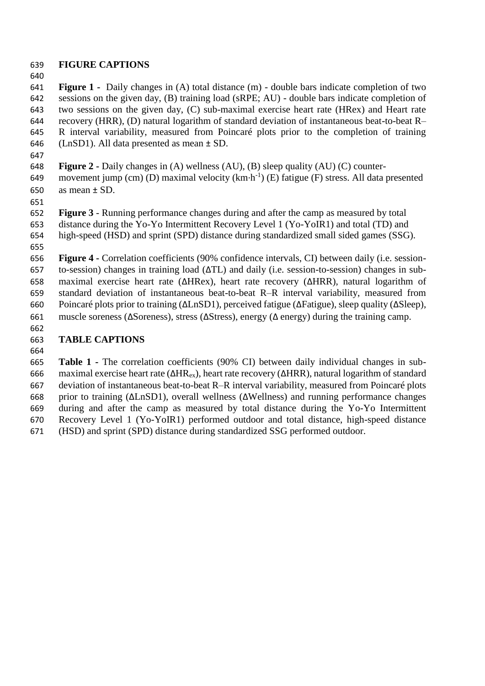# **FIGURE CAPTIONS**

 **Figure 1 -** Daily changes in (A) total distance (m) - double bars indicate completion of two sessions on the given day, (B) training load (sRPE; AU) - double bars indicate completion of two sessions on the given day, (C) sub-maximal exercise heart rate (HRex) and Heart rate recovery (HRR), (D) natural logarithm of standard deviation of instantaneous beat-to-beat R– R interval variability, measured from Poincaré plots prior to the completion of training (LnSD1). All data presented as mean ± SD.

- **Figure 2 -** Daily changes in (A) wellness (AU), (B) sleep quality (AU) (C) counter-649 movement jump (cm) (D) maximal velocity  $(km \cdot h^{-1})$  (E) fatigue (F) stress. All data presented as mean ± SD.
- 

 **Figure 3** - Running performance changes during and after the camp as measured by total distance during the Yo-Yo Intermittent Recovery Level 1 (Yo-YoIR1) and total (TD) and

high-speed (HSD) and sprint (SPD) distance during standardized small sided games (SSG).

 **Figure 4 -** Correlation coefficients (90% confidence intervals, CI) between daily (i.e. session- to-session) changes in training load (∆TL) and daily (i.e. session-to-session) changes in sub- maximal exercise heart rate (∆HRex), heart rate recovery (∆HRR), natural logarithm of standard deviation of instantaneous beat-to-beat R–R interval variability, measured from Poincaré plots prior to training (∆LnSD1), perceived fatigue (∆Fatigue), sleep quality (∆Sleep), muscle soreness (∆Soreness), stress (∆Stress), energy (∆ energy) during the training camp.

- **TABLE CAPTIONS**
- 

 **Table 1 -** The correlation coefficients (90% CI) between daily individual changes in sub- maximal exercise heart rate (∆HRex), heart rate recovery (∆HRR), natural logarithm of standard deviation of instantaneous beat-to-beat R–R interval variability, measured from Poincaré plots prior to training (∆LnSD1), overall wellness (∆Wellness) and running performance changes during and after the camp as measured by total distance during the Yo-Yo Intermittent Recovery Level 1 (Yo-YoIR1) performed outdoor and total distance, high-speed distance (HSD) and sprint (SPD) distance during standardized SSG performed outdoor.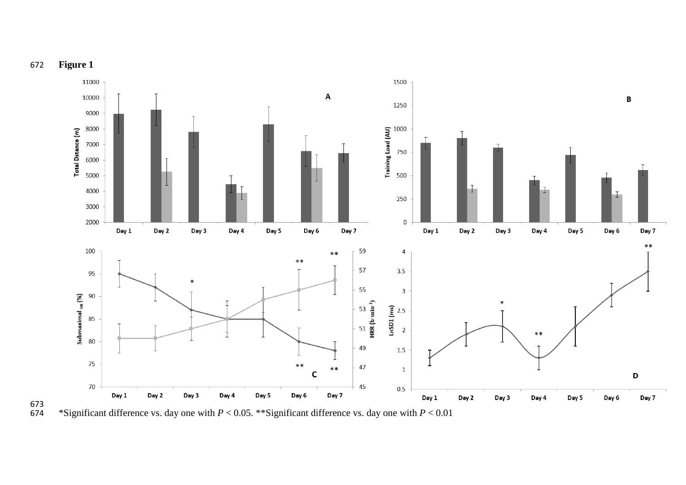

673<br>674 \*Significant difference vs. day one with *P* < 0.05. \*\*Significant difference vs. day one with *P* < 0.01

**Figure 1**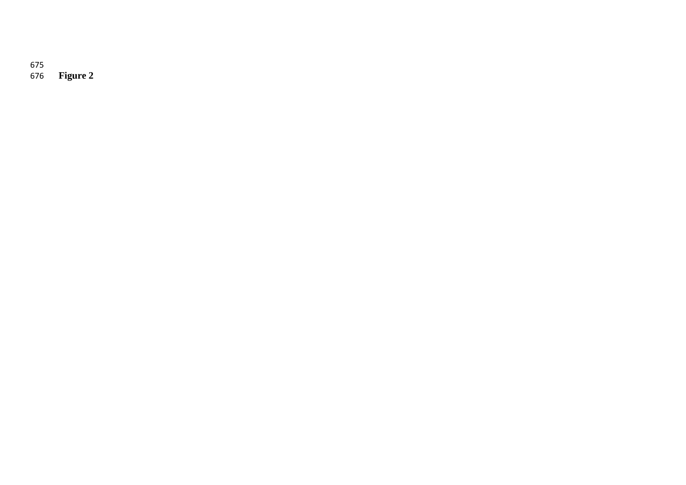675 **Figure 2**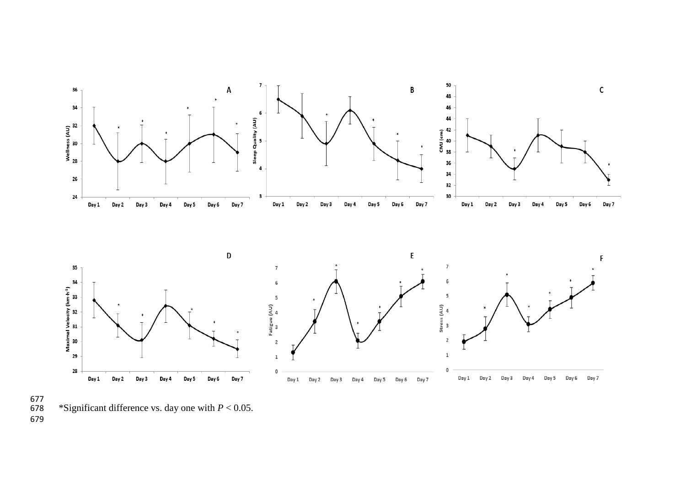

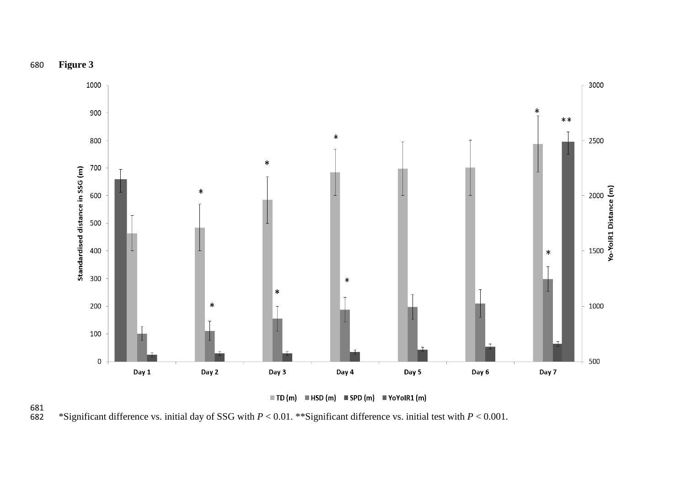



 $\blacksquare$  TD (m)  $\blacksquare$  HSD (m)  $\blacksquare$  SPD (m)  $\blacksquare$  YoYoIR1 (m)

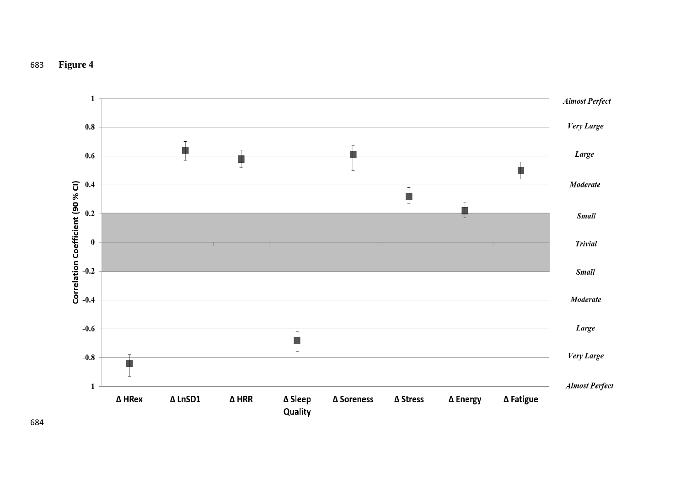

# **Figure 4**